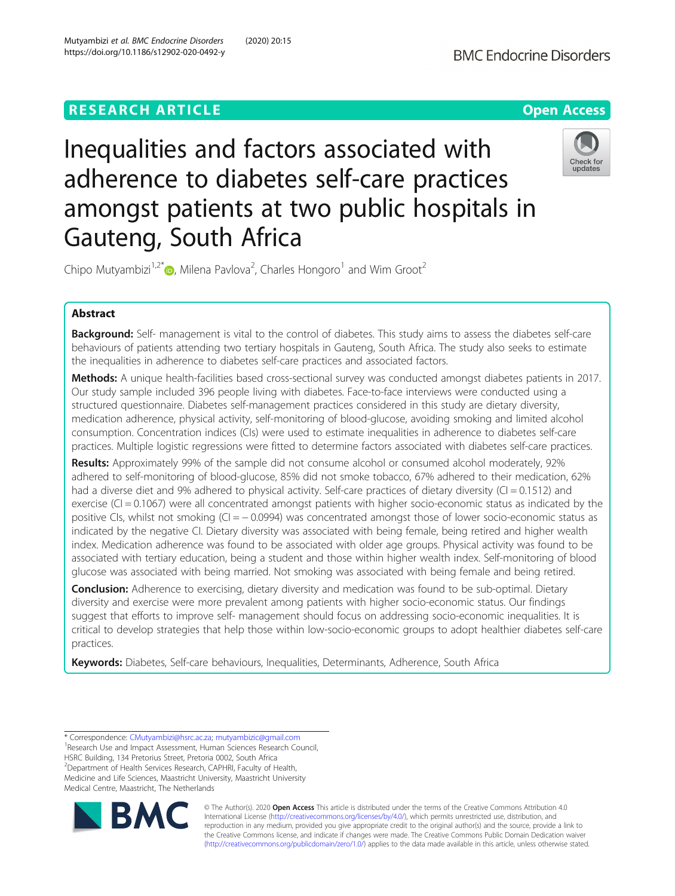# **RESEARCH ARTICLE Example 2014 12:30 The Contract of Contract ACCESS**



Inequalities and factors associated with adherence to diabetes self-care practices amongst patients at two public hospitals in Gauteng, South Africa



Chipo Mutyambizi<sup>1[,](http://orcid.org/0000-0003-4749-7280)2\*</sup> $\textsf{D}$ , Milena Pavlova<sup>2</sup>, Charles Hongoro<sup>1</sup> and Wim Groot<sup>2</sup>

# Abstract

Background: Self- management is vital to the control of diabetes. This study aims to assess the diabetes self-care behaviours of patients attending two tertiary hospitals in Gauteng, South Africa. The study also seeks to estimate the inequalities in adherence to diabetes self-care practices and associated factors.

Methods: A unique health-facilities based cross-sectional survey was conducted amongst diabetes patients in 2017. Our study sample included 396 people living with diabetes. Face-to-face interviews were conducted using a structured questionnaire. Diabetes self-management practices considered in this study are dietary diversity, medication adherence, physical activity, self-monitoring of blood-glucose, avoiding smoking and limited alcohol consumption. Concentration indices (CIs) were used to estimate inequalities in adherence to diabetes self-care practices. Multiple logistic regressions were fitted to determine factors associated with diabetes self-care practices.

Results: Approximately 99% of the sample did not consume alcohol or consumed alcohol moderately, 92% adhered to self-monitoring of blood-glucose, 85% did not smoke tobacco, 67% adhered to their medication, 62% had a diverse diet and 9% adhered to physical activity. Self-care practices of dietary diversity (CI = 0.1512) and exercise ( $Cl = 0.1067$ ) were all concentrated amongst patients with higher socio-economic status as indicated by the positive CIs, whilst not smoking (CI = -0.0994) was concentrated amongst those of lower socio-economic status as indicated by the negative CI. Dietary diversity was associated with being female, being retired and higher wealth index. Medication adherence was found to be associated with older age groups. Physical activity was found to be associated with tertiary education, being a student and those within higher wealth index. Self-monitoring of blood glucose was associated with being married. Not smoking was associated with being female and being retired.

**Conclusion:** Adherence to exercising, dietary diversity and medication was found to be sub-optimal. Dietary diversity and exercise were more prevalent among patients with higher socio-economic status. Our findings suggest that efforts to improve self- management should focus on addressing socio-economic inequalities. It is critical to develop strategies that help those within low-socio-economic groups to adopt healthier diabetes self-care practices.

Keywords: Diabetes, Self-care behaviours, Inequalities, Determinants, Adherence, South Africa

\* Correspondence: [CMutyambizi@hsrc.ac.za;](mailto:CMutyambizi@hsrc.ac.za) [mutyambizic@gmail.com](mailto:mutyambizic@gmail.com) <sup>1</sup> <sup>1</sup> Research Use and Impact Assessment, Human Sciences Research Council, HSRC Building, 134 Pretorius Street, Pretoria 0002, South Africa 2 Department of Health Services Research, CAPHRI, Faculty of Health, Medicine and Life Sciences, Maastricht University, Maastricht University Medical Centre, Maastricht, The Netherlands



© The Author(s). 2020 **Open Access** This article is distributed under the terms of the Creative Commons Attribution 4.0 International License [\(http://creativecommons.org/licenses/by/4.0/](http://creativecommons.org/licenses/by/4.0/)), which permits unrestricted use, distribution, and reproduction in any medium, provided you give appropriate credit to the original author(s) and the source, provide a link to the Creative Commons license, and indicate if changes were made. The Creative Commons Public Domain Dedication waiver [\(http://creativecommons.org/publicdomain/zero/1.0/](http://creativecommons.org/publicdomain/zero/1.0/)) applies to the data made available in this article, unless otherwise stated.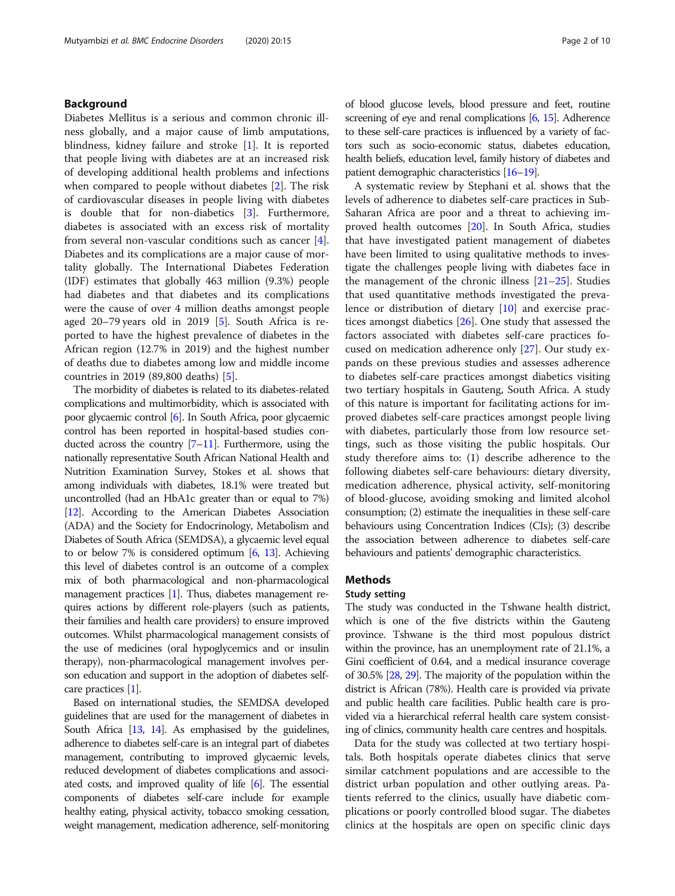# Background

Diabetes Mellitus is a serious and common chronic illness globally, and a major cause of limb amputations, blindness, kidney failure and stroke [[1\]](#page-8-0). It is reported that people living with diabetes are at an increased risk of developing additional health problems and infections when compared to people without diabetes [\[2](#page-8-0)]. The risk of cardiovascular diseases in people living with diabetes is double that for non-diabetics [[3\]](#page-8-0). Furthermore, diabetes is associated with an excess risk of mortality from several non-vascular conditions such as cancer [\[4](#page-8-0)]. Diabetes and its complications are a major cause of mortality globally. The International Diabetes Federation (IDF) estimates that globally 463 million (9.3%) people had diabetes and that diabetes and its complications were the cause of over 4 million deaths amongst people aged 20–79 years old in 2019 [[5\]](#page-8-0). South Africa is reported to have the highest prevalence of diabetes in the African region (12.7% in 2019) and the highest number of deaths due to diabetes among low and middle income countries in 2019 (89,800 deaths) [\[5](#page-8-0)].

The morbidity of diabetes is related to its diabetes-related complications and multimorbidity, which is associated with poor glycaemic control [\[6\]](#page-8-0). In South Africa, poor glycaemic control has been reported in hospital-based studies conducted across the country  $[7-11]$  $[7-11]$  $[7-11]$  $[7-11]$ . Furthermore, using the nationally representative South African National Health and Nutrition Examination Survey, Stokes et al. shows that among individuals with diabetes, 18.1% were treated but uncontrolled (had an HbA1c greater than or equal to 7%) [[12](#page-8-0)]. According to the American Diabetes Association (ADA) and the Society for Endocrinology, Metabolism and Diabetes of South Africa (SEMDSA), a glycaemic level equal to or below 7% is considered optimum [[6](#page-8-0), [13\]](#page-8-0). Achieving this level of diabetes control is an outcome of a complex mix of both pharmacological and non-pharmacological management practices [\[1](#page-8-0)]. Thus, diabetes management requires actions by different role-players (such as patients, their families and health care providers) to ensure improved outcomes. Whilst pharmacological management consists of the use of medicines (oral hypoglycemics and or insulin therapy), non-pharmacological management involves person education and support in the adoption of diabetes selfcare practices [\[1\]](#page-8-0).

Based on international studies, the SEMDSA developed guidelines that are used for the management of diabetes in South Africa [\[13,](#page-8-0) [14](#page-8-0)]. As emphasised by the guidelines, adherence to diabetes self-care is an integral part of diabetes management, contributing to improved glycaemic levels, reduced development of diabetes complications and associated costs, and improved quality of life [\[6\]](#page-8-0). The essential components of diabetes self-care include for example healthy eating, physical activity, tobacco smoking cessation, weight management, medication adherence, self-monitoring of blood glucose levels, blood pressure and feet, routine screening of eye and renal complications [[6](#page-8-0), [15\]](#page-8-0). Adherence to these self-care practices is influenced by a variety of factors such as socio-economic status, diabetes education, health beliefs, education level, family history of diabetes and patient demographic characteristics [\[16](#page-8-0)–[19](#page-9-0)].

A systematic review by Stephani et al. shows that the levels of adherence to diabetes self-care practices in Sub-Saharan Africa are poor and a threat to achieving improved health outcomes [[20](#page-9-0)]. In South Africa, studies that have investigated patient management of diabetes have been limited to using qualitative methods to investigate the challenges people living with diabetes face in the management of the chronic illness  $[21-25]$  $[21-25]$  $[21-25]$ . Studies that used quantitative methods investigated the prevalence or distribution of dietary [[10](#page-8-0)] and exercise practices amongst diabetics [[26\]](#page-9-0). One study that assessed the factors associated with diabetes self-care practices focused on medication adherence only [\[27](#page-9-0)]. Our study expands on these previous studies and assesses adherence to diabetes self-care practices amongst diabetics visiting two tertiary hospitals in Gauteng, South Africa. A study of this nature is important for facilitating actions for improved diabetes self-care practices amongst people living with diabetes, particularly those from low resource settings, such as those visiting the public hospitals. Our study therefore aims to: (1) describe adherence to the following diabetes self-care behaviours: dietary diversity, medication adherence, physical activity, self-monitoring of blood-glucose, avoiding smoking and limited alcohol consumption; (2) estimate the inequalities in these self-care behaviours using Concentration Indices (CIs); (3) describe the association between adherence to diabetes self-care behaviours and patients' demographic characteristics.

# **Methods**

### Study setting

The study was conducted in the Tshwane health district, which is one of the five districts within the Gauteng province. Tshwane is the third most populous district within the province, has an unemployment rate of 21.1%, a Gini coefficient of 0.64, and a medical insurance coverage of 30.5% [[28,](#page-9-0) [29](#page-9-0)]. The majority of the population within the district is African (78%). Health care is provided via private and public health care facilities. Public health care is provided via a hierarchical referral health care system consisting of clinics, community health care centres and hospitals.

Data for the study was collected at two tertiary hospitals. Both hospitals operate diabetes clinics that serve similar catchment populations and are accessible to the district urban population and other outlying areas. Patients referred to the clinics, usually have diabetic complications or poorly controlled blood sugar. The diabetes clinics at the hospitals are open on specific clinic days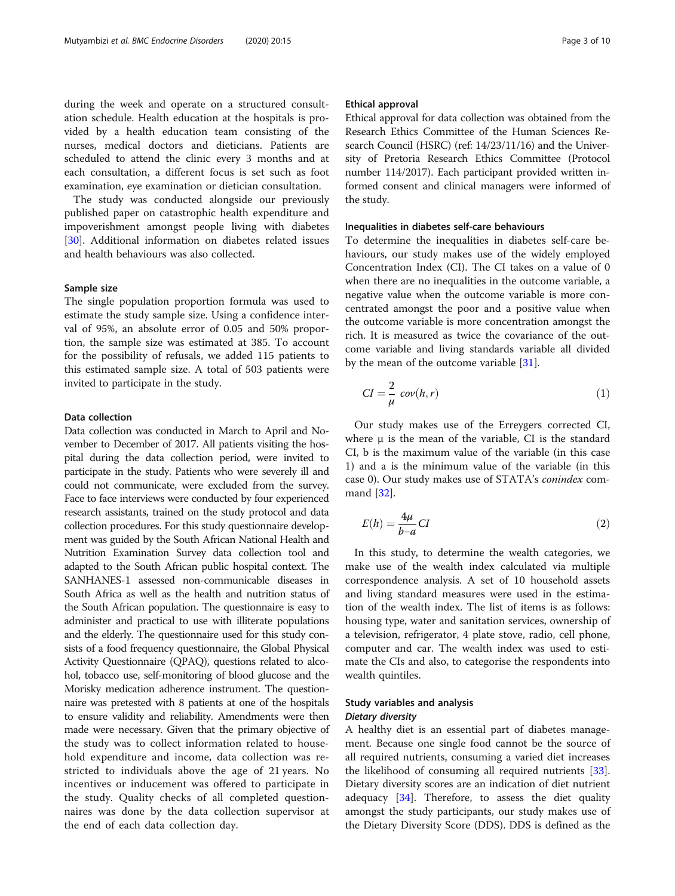during the week and operate on a structured consultation schedule. Health education at the hospitals is provided by a health education team consisting of the nurses, medical doctors and dieticians. Patients are scheduled to attend the clinic every 3 months and at each consultation, a different focus is set such as foot examination, eye examination or dietician consultation.

The study was conducted alongside our previously published paper on catastrophic health expenditure and impoverishment amongst people living with diabetes [[30\]](#page-9-0). Additional information on diabetes related issues and health behaviours was also collected.

### Sample size

The single population proportion formula was used to estimate the study sample size. Using a confidence interval of 95%, an absolute error of 0.05 and 50% proportion, the sample size was estimated at 385. To account for the possibility of refusals, we added 115 patients to this estimated sample size. A total of 503 patients were invited to participate in the study.

### Data collection

Data collection was conducted in March to April and November to December of 2017. All patients visiting the hospital during the data collection period, were invited to participate in the study. Patients who were severely ill and could not communicate, were excluded from the survey. Face to face interviews were conducted by four experienced research assistants, trained on the study protocol and data collection procedures. For this study questionnaire development was guided by the South African National Health and Nutrition Examination Survey data collection tool and adapted to the South African public hospital context. The SANHANES-1 assessed non-communicable diseases in South Africa as well as the health and nutrition status of the South African population. The questionnaire is easy to administer and practical to use with illiterate populations and the elderly. The questionnaire used for this study consists of a food frequency questionnaire, the Global Physical Activity Questionnaire (QPAQ), questions related to alcohol, tobacco use, self-monitoring of blood glucose and the Morisky medication adherence instrument. The questionnaire was pretested with 8 patients at one of the hospitals to ensure validity and reliability. Amendments were then made were necessary. Given that the primary objective of the study was to collect information related to household expenditure and income, data collection was restricted to individuals above the age of 21 years. No incentives or inducement was offered to participate in the study. Quality checks of all completed questionnaires was done by the data collection supervisor at the end of each data collection day.

### Ethical approval

Ethical approval for data collection was obtained from the Research Ethics Committee of the Human Sciences Research Council (HSRC) (ref: 14/23/11/16) and the University of Pretoria Research Ethics Committee (Protocol number 114/2017). Each participant provided written informed consent and clinical managers were informed of the study.

# Inequalities in diabetes self-care behaviours

To determine the inequalities in diabetes self-care behaviours, our study makes use of the widely employed Concentration Index (CI). The CI takes on a value of 0 when there are no inequalities in the outcome variable, a negative value when the outcome variable is more concentrated amongst the poor and a positive value when the outcome variable is more concentration amongst the rich. It is measured as twice the covariance of the outcome variable and living standards variable all divided by the mean of the outcome variable [\[31](#page-9-0)].

$$
CI = \frac{2}{\mu} \operatorname{cov}(h, r) \tag{1}
$$

Our study makes use of the Erreygers corrected CI, where  $\mu$  is the mean of the variable, CI is the standard CI, b is the maximum value of the variable (in this case 1) and a is the minimum value of the variable (in this case 0). Our study makes use of STATA's conindex command [\[32\]](#page-9-0).

$$
E(h) = \frac{4\mu}{b-a} CI
$$
 (2)

In this study, to determine the wealth categories, we make use of the wealth index calculated via multiple correspondence analysis. A set of 10 household assets and living standard measures were used in the estimation of the wealth index. The list of items is as follows: housing type, water and sanitation services, ownership of a television, refrigerator, 4 plate stove, radio, cell phone, computer and car. The wealth index was used to estimate the CIs and also, to categorise the respondents into wealth quintiles.

# Study variables and analysis Dietary diversity

A healthy diet is an essential part of diabetes management. Because one single food cannot be the source of all required nutrients, consuming a varied diet increases the likelihood of consuming all required nutrients [\[33](#page-9-0)]. Dietary diversity scores are an indication of diet nutrient adequacy  $[34]$  $[34]$ . Therefore, to assess the diet quality amongst the study participants, our study makes use of the Dietary Diversity Score (DDS). DDS is defined as the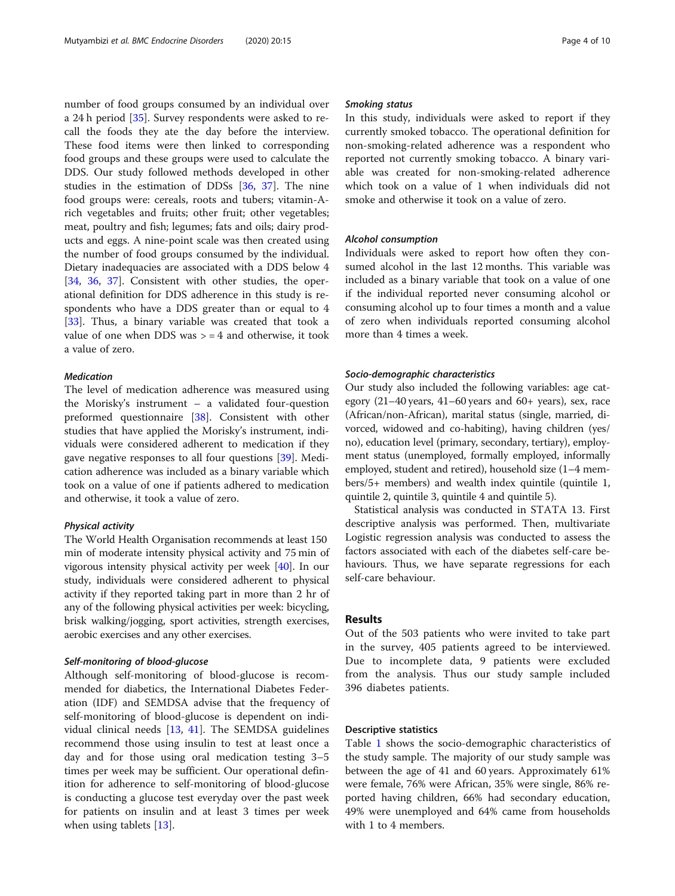number of food groups consumed by an individual over a 24 h period [\[35\]](#page-9-0). Survey respondents were asked to recall the foods they ate the day before the interview. These food items were then linked to corresponding food groups and these groups were used to calculate the DDS. Our study followed methods developed in other studies in the estimation of DDSs [[36,](#page-9-0) [37\]](#page-9-0). The nine food groups were: cereals, roots and tubers; vitamin-Arich vegetables and fruits; other fruit; other vegetables; meat, poultry and fish; legumes; fats and oils; dairy products and eggs. A nine-point scale was then created using the number of food groups consumed by the individual. Dietary inadequacies are associated with a DDS below 4 [[34,](#page-9-0) [36](#page-9-0), [37](#page-9-0)]. Consistent with other studies, the operational definition for DDS adherence in this study is respondents who have a DDS greater than or equal to 4 [[33\]](#page-9-0). Thus, a binary variable was created that took a value of one when DDS was  $> = 4$  and otherwise, it took a value of zero.

### Medication

The level of medication adherence was measured using the Morisky's instrument – a validated four-question preformed questionnaire [[38\]](#page-9-0). Consistent with other studies that have applied the Morisky's instrument, individuals were considered adherent to medication if they gave negative responses to all four questions [\[39](#page-9-0)]. Medication adherence was included as a binary variable which took on a value of one if patients adhered to medication and otherwise, it took a value of zero.

### Physical activity

The World Health Organisation recommends at least 150 min of moderate intensity physical activity and 75 min of vigorous intensity physical activity per week [\[40](#page-9-0)]. In our study, individuals were considered adherent to physical activity if they reported taking part in more than 2 hr of any of the following physical activities per week: bicycling, brisk walking/jogging, sport activities, strength exercises, aerobic exercises and any other exercises.

### Self-monitoring of blood-glucose

Although self-monitoring of blood-glucose is recommended for diabetics, the International Diabetes Federation (IDF) and SEMDSA advise that the frequency of self-monitoring of blood-glucose is dependent on individual clinical needs [[13,](#page-8-0) [41\]](#page-9-0). The SEMDSA guidelines recommend those using insulin to test at least once a day and for those using oral medication testing 3–5 times per week may be sufficient. Our operational definition for adherence to self-monitoring of blood-glucose is conducting a glucose test everyday over the past week for patients on insulin and at least 3 times per week when using tablets [\[13\]](#page-8-0).

### Smoking status

In this study, individuals were asked to report if they currently smoked tobacco. The operational definition for non-smoking-related adherence was a respondent who reported not currently smoking tobacco. A binary variable was created for non-smoking-related adherence which took on a value of 1 when individuals did not smoke and otherwise it took on a value of zero.

### Alcohol consumption

Individuals were asked to report how often they consumed alcohol in the last 12 months. This variable was included as a binary variable that took on a value of one if the individual reported never consuming alcohol or consuming alcohol up to four times a month and a value of zero when individuals reported consuming alcohol more than 4 times a week.

### Socio-demographic characteristics

Our study also included the following variables: age category (21–40 years, 41–60 years and 60+ years), sex, race (African/non-African), marital status (single, married, divorced, widowed and co-habiting), having children (yes/ no), education level (primary, secondary, tertiary), employment status (unemployed, formally employed, informally employed, student and retired), household size (1–4 members/5+ members) and wealth index quintile (quintile 1, quintile 2, quintile 3, quintile 4 and quintile 5).

Statistical analysis was conducted in STATA 13. First descriptive analysis was performed. Then, multivariate Logistic regression analysis was conducted to assess the factors associated with each of the diabetes self-care behaviours. Thus, we have separate regressions for each self-care behaviour.

### Results

Out of the 503 patients who were invited to take part in the survey, 405 patients agreed to be interviewed. Due to incomplete data, 9 patients were excluded from the analysis. Thus our study sample included 396 diabetes patients.

### Descriptive statistics

Table [1](#page-4-0) shows the socio-demographic characteristics of the study sample. The majority of our study sample was between the age of 41 and 60 years. Approximately 61% were female, 76% were African, 35% were single, 86% reported having children, 66% had secondary education, 49% were unemployed and 64% came from households with 1 to 4 members.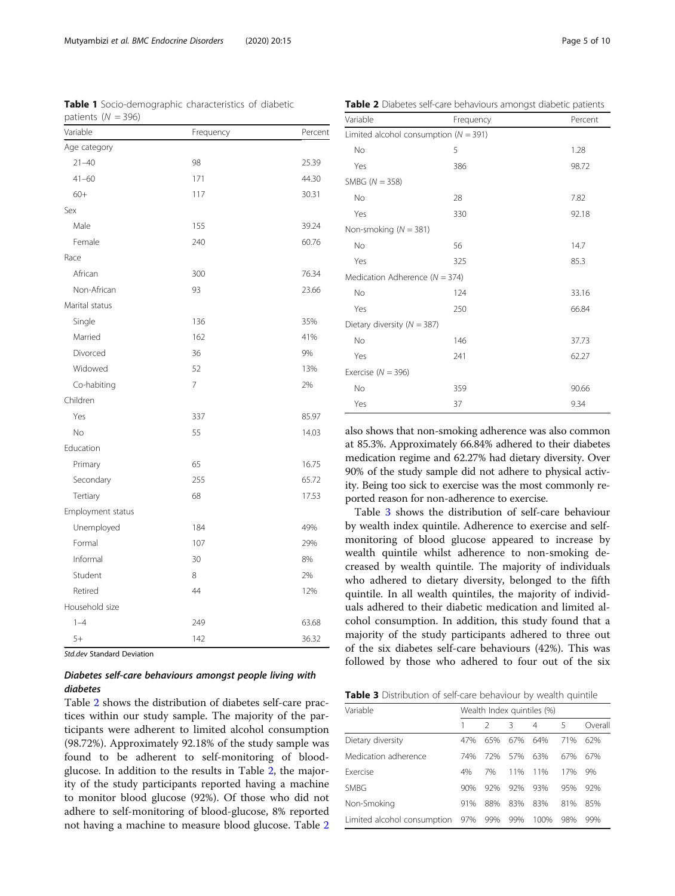# Diabetes self-care behaviours amongst people living with diabetes

Table 2 shows the distribution of diabetes self-care practices within our study sample. The majority of the participants were adherent to limited alcohol consumption (98.72%). Approximately 92.18% of the study sample was found to be adherent to self-monitoring of bloodglucose. In addition to the results in Table 2, the majority of the study participants reported having a machine to monitor blood glucose (92%). Of those who did not adhere to self-monitoring of blood-glucose, 8% reported not having a machine to measure blood glucose. Table 2 also shows that non-smoking adherence was also common at 85.3%. Approximately 66.84% adhered to their diabetes medication regime and 62.27% had dietary diversity. Over 90% of the study sample did not adhere to physical activity. Being too sick to exercise was the most commonly reported reason for non-adherence to exercise.

Table 3 shows the distribution of self-care behaviour by wealth index quintile. Adherence to exercise and selfmonitoring of blood glucose appeared to increase by wealth quintile whilst adherence to non-smoking decreased by wealth quintile. The majority of individuals who adhered to dietary diversity, belonged to the fifth quintile. In all wealth quintiles, the majority of individuals adhered to their diabetic medication and limited alcohol consumption. In addition, this study found that a majority of the study participants adhered to three out of the six diabetes self-care behaviours (42%). This was followed by those who adhered to four out of the six

|  |  | Table 3 Distribution of self-care behaviour by wealth quintile |  |  |  |  |  |  |
|--|--|----------------------------------------------------------------|--|--|--|--|--|--|
|--|--|----------------------------------------------------------------|--|--|--|--|--|--|

| Variable                    | Wealth Index quintiles (%) |     |     |      |     |         |  |
|-----------------------------|----------------------------|-----|-----|------|-----|---------|--|
|                             |                            |     | 3   | 4    | 5   | Overall |  |
| Dietary diversity           | 47%                        | 65% | 67% | 64%  | 71% | 62%     |  |
| Medication adherence        | 74%                        | 72% | 57% | 63%  | 67% | 67%     |  |
| <b>Exercise</b>             | 4%                         | 7%  | 11% | 11%  | 17% | 9%      |  |
| <b>SMBG</b>                 | 90%                        | 92% | 92% | 93%  | 95% | 92%     |  |
| Non-Smoking                 | 91%                        | 88% | 83% | 83%  | 81% | 85%     |  |
| Limited alcohol consumption | 97%                        | 99% | 99% | 100% | 98% | 99%     |  |

<span id="page-4-0"></span>Table 1 Socio-demographic characteristics of diabetic patients  $(N = 396)$ 

| Variable          | Frequency      | Percent |
|-------------------|----------------|---------|
| Age category      |                |         |
| $21 - 40$         | 98             | 25.39   |
| $41 - 60$         | 171            | 44.30   |
| $60+$             | 117            | 30.31   |
| Sex               |                |         |
| Male              | 155            | 39.24   |
| Female            | 240            | 60.76   |
| Race              |                |         |
| African           | 300            | 76.34   |
| Non-African       | 93             | 23.66   |
| Marital status    |                |         |
| Single            | 136            | 35%     |
| Married           | 162            | 41%     |
| Divorced          | 36             | 9%      |
| Widowed           | 52             | 13%     |
| Co-habiting       | $\overline{7}$ | 2%      |
| Children          |                |         |
| Yes               | 337            | 85.97   |
| No                | 55             | 14.03   |
| Education         |                |         |
| Primary           | 65             | 16.75   |
| Secondary         | 255            | 65.72   |
| Tertiary          | 68             | 17.53   |
| Employment status |                |         |
| Unemployed        | 184            | 49%     |
| Formal            | 107            | 29%     |
| Informal          | 30             | 8%      |
| Student           | 8              | 2%      |
| Retired           | 44             | 12%     |
| Household size    |                |         |
| $1 - 4$           | 249            | 63.68   |
| $5+$              | 142            | 36.32   |

| Variable                                  | Frequency | Percent |
|-------------------------------------------|-----------|---------|
| Limited alcohol consumption ( $N = 391$ ) |           |         |
| No                                        | 5         | 1.28    |
| Yes                                       | 386       | 98.72   |
| SMBG ( $N = 358$ )                        |           |         |
| No                                        | 28        | 7.82    |
| Yes                                       | 330       | 92.18   |
| Non-smoking ( $N = 381$ )                 |           |         |
| No                                        | 56        | 14.7    |
| Yes                                       | 325       | 85.3    |
| Medication Adherence ( $N = 374$ )        |           |         |
| No                                        | 124       | 33.16   |
| Yes                                       | 250       | 66.84   |
| Dietary diversity ( $N = 387$ )           |           |         |
| No                                        | 146       | 37.73   |
| Yes                                       | 241       | 62.27   |
| Exercise ( $N = 396$ )                    |           |         |
| No                                        | 359       | 90.66   |
| Yes                                       | 37        | 9.34    |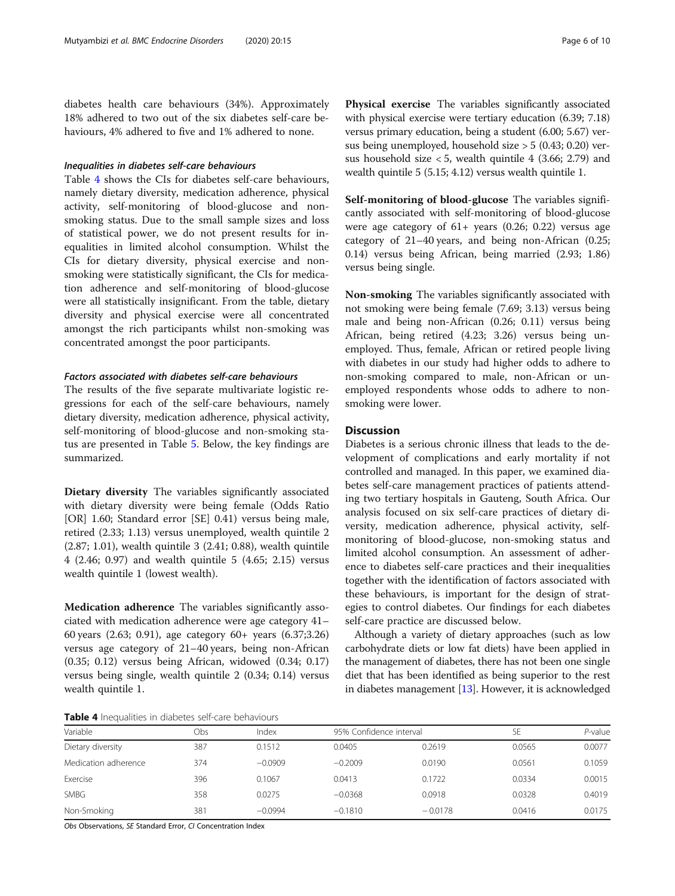diabetes health care behaviours (34%). Approximately 18% adhered to two out of the six diabetes self-care behaviours, 4% adhered to five and 1% adhered to none.

# Inequalities in diabetes self-care behaviours

Table 4 shows the CIs for diabetes self-care behaviours, namely dietary diversity, medication adherence, physical activity, self-monitoring of blood-glucose and nonsmoking status. Due to the small sample sizes and loss of statistical power, we do not present results for inequalities in limited alcohol consumption. Whilst the CIs for dietary diversity, physical exercise and nonsmoking were statistically significant, the CIs for medication adherence and self-monitoring of blood-glucose were all statistically insignificant. From the table, dietary diversity and physical exercise were all concentrated amongst the rich participants whilst non-smoking was concentrated amongst the poor participants.

# Factors associated with diabetes self-care behaviours

The results of the five separate multivariate logistic regressions for each of the self-care behaviours, namely dietary diversity, medication adherence, physical activity, self-monitoring of blood-glucose and non-smoking status are presented in Table [5](#page-6-0). Below, the key findings are summarized.

Dietary diversity The variables significantly associated with dietary diversity were being female (Odds Ratio [OR] 1.60; Standard error [SE] 0.41) versus being male, retired (2.33; 1.13) versus unemployed, wealth quintile 2 (2.87; 1.01), wealth quintile 3 (2.41; 0.88), wealth quintile 4 (2.46; 0.97) and wealth quintile 5 (4.65; 2.15) versus wealth quintile 1 (lowest wealth).

Medication adherence The variables significantly associated with medication adherence were age category 41– 60 years (2.63; 0.91), age category 60+ years (6.37;3.26) versus age category of 21–40 years, being non-African (0.35; 0.12) versus being African, widowed (0.34; 0.17) versus being single, wealth quintile 2 (0.34; 0.14) versus wealth quintile 1.

Physical exercise The variables significantly associated with physical exercise were tertiary education (6.39; 7.18) versus primary education, being a student (6.00; 5.67) versus being unemployed, household size > 5 (0.43; 0.20) versus household size  $< 5$ , wealth quintile 4 (3.66; 2.79) and wealth quintile 5 (5.15; 4.12) versus wealth quintile 1.

Self-monitoring of blood-glucose The variables significantly associated with self-monitoring of blood-glucose were age category of  $61+$  years  $(0.26; 0.22)$  versus age category of 21–40 years, and being non-African (0.25; 0.14) versus being African, being married (2.93; 1.86) versus being single.

Non-smoking The variables significantly associated with not smoking were being female (7.69; 3.13) versus being male and being non-African (0.26; 0.11) versus being African, being retired (4.23; 3.26) versus being unemployed. Thus, female, African or retired people living with diabetes in our study had higher odds to adhere to non-smoking compared to male, non-African or unemployed respondents whose odds to adhere to nonsmoking were lower.

### **Discussion**

Diabetes is a serious chronic illness that leads to the development of complications and early mortality if not controlled and managed. In this paper, we examined diabetes self-care management practices of patients attending two tertiary hospitals in Gauteng, South Africa. Our analysis focused on six self-care practices of dietary diversity, medication adherence, physical activity, selfmonitoring of blood-glucose, non-smoking status and limited alcohol consumption. An assessment of adherence to diabetes self-care practices and their inequalities together with the identification of factors associated with these behaviours, is important for the design of strategies to control diabetes. Our findings for each diabetes self-care practice are discussed below.

Although a variety of dietary approaches (such as low carbohydrate diets or low fat diets) have been applied in the management of diabetes, there has not been one single diet that has been identified as being superior to the rest in diabetes management [\[13\]](#page-8-0). However, it is acknowledged

Table 4 Inequalities in diabetes self-care behaviours

| Variable             | Obs | Index     | 95% Confidence interval |           | SE     | $P$ -value |  |
|----------------------|-----|-----------|-------------------------|-----------|--------|------------|--|
| Dietary diversity    | 387 | 0.1512    | 0.0405                  | 0.2619    | 0.0565 | 0.0077     |  |
| Medication adherence | 374 | $-0.0909$ | $-0.2009$               | 0.0190    | 0.0561 | 0.1059     |  |
| Exercise             | 396 | 0.1067    | 0.0413                  | 0.1722    | 0.0334 | 0.0015     |  |
| SMBG                 | 358 | 0.0275    | $-0.0368$               | 0.0918    | 0.0328 | 0.4019     |  |
| Non-Smoking          | 381 | $-0.0994$ | $-0.1810$               | $-0.0178$ | 0.0416 | 0.0175     |  |

Obs Observations, SE Standard Error, CI Concentration Index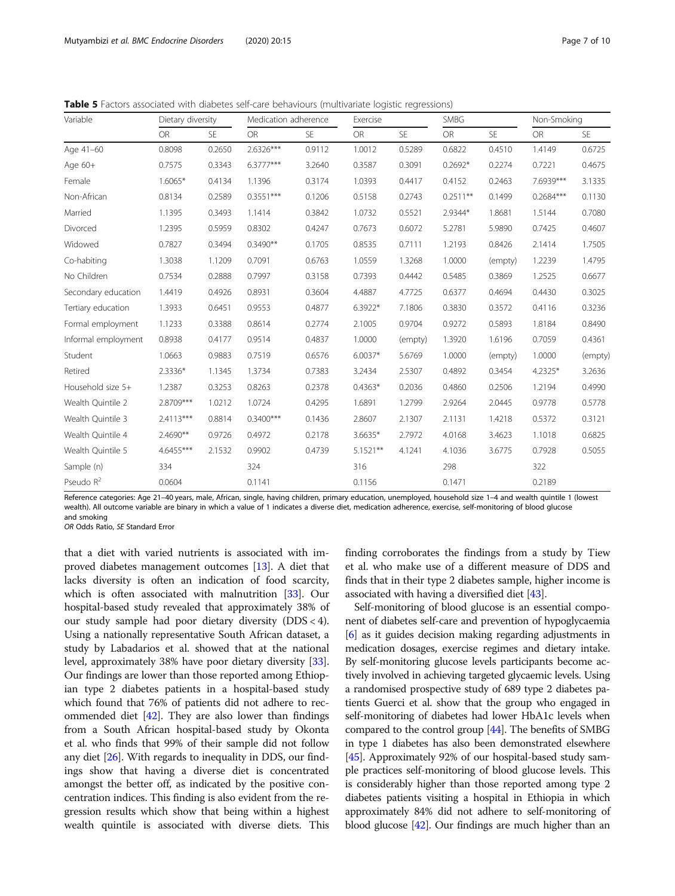<span id="page-6-0"></span>Table 5 Factors associated with diabetes self-care behaviours (multivariate logistic regressions)

| Variable            | Dietary diversity |        | Medication adherence |           | Exercise    |           |            | SMBG      |             | Non-Smoking |  |
|---------------------|-------------------|--------|----------------------|-----------|-------------|-----------|------------|-----------|-------------|-------------|--|
|                     | <b>OR</b>         | SE     | <b>OR</b>            | <b>SE</b> | OR          | <b>SE</b> | OR         | <b>SE</b> | OR          | <b>SE</b>   |  |
| Age 41-60           | 0.8098            | 0.2650 | 2.6326***            | 0.9112    | 1.0012      | 0.5289    | 0.6822     | 0.4510    | 1.4149      | 0.6725      |  |
| Age 60+             | 0.7575            | 0.3343 | $6.3777***$          | 3.2640    | 0.3587      | 0.3091    | $0.2692*$  | 0.2274    | 0.7221      | 0.4675      |  |
| Female              | $1.6065*$         | 0.4134 | 1.1396               | 0.3174    | 1.0393      | 0.4417    | 0.4152     | 0.2463    | 7.6939***   | 3.1335      |  |
| Non-African         | 0.8134            | 0.2589 | $0.3551***$          | 0.1206    | 0.5158      | 0.2743    | $0.2511**$ | 0.1499    | $0.2684***$ | 0.1130      |  |
| Married             | 1.1395            | 0.3493 | 1.1414               | 0.3842    | 1.0732      | 0.5521    | 2.9344*    | 1.8681    | 1.5144      | 0.7080      |  |
| Divorced            | 1.2395            | 0.5959 | 0.8302               | 0.4247    | 0.7673      | 0.6072    | 5.2781     | 5.9890    | 0.7425      | 0.4607      |  |
| Widowed             | 0.7827            | 0.3494 | $0.3490**$           | 0.1705    | 0.8535      | 0.7111    | 1.2193     | 0.8426    | 2.1414      | 1.7505      |  |
| Co-habiting         | 1.3038            | 1.1209 | 0.7091               | 0.6763    | 1.0559      | 1.3268    | 1.0000     | (empty)   | 1.2239      | 1.4795      |  |
| No Children         | 0.7534            | 0.2888 | 0.7997               | 0.3158    | 0.7393      | 0.4442    | 0.5485     | 0.3869    | 1.2525      | 0.6677      |  |
| Secondary education | 1.4419            | 0.4926 | 0.8931               | 0.3604    | 4.4887      | 4.7725    | 0.6377     | 0.4694    | 0.4430      | 0.3025      |  |
| Tertiary education  | 1.3933            | 0.6451 | 0.9553               | 0.4877    | $6.3922*$   | 7.1806    | 0.3830     | 0.3572    | 0.4116      | 0.3236      |  |
| Formal employment   | 1.1233            | 0.3388 | 0.8614               | 0.2774    | 2.1005      | 0.9704    | 0.9272     | 0.5893    | 1.8184      | 0.8490      |  |
| Informal employment | 0.8938            | 0.4177 | 0.9514               | 0.4837    | 1.0000      | (empty)   | 1.3920     | 1.6196    | 0.7059      | 0.4361      |  |
| Student             | 1.0663            | 0.9883 | 0.7519               | 0.6576    | $6.0037*$   | 5.6769    | 1.0000     | (empty)   | 1.0000      | (empty)     |  |
| Retired             | 2.3336*           | 1.1345 | 1.3734               | 0.7383    | 3.2434      | 2.5307    | 0.4892     | 0.3454    | 4.2325*     | 3.2636      |  |
| Household size 5+   | 1.2387            | 0.3253 | 0.8263               | 0.2378    | $0.4363*$   | 0.2036    | 0.4860     | 0.2506    | 1.2194      | 0.4990      |  |
| Wealth Quintile 2   | 2.8709***         | 1.0212 | 1.0724               | 0.4295    | 1.6891      | 1.2799    | 2.9264     | 2.0445    | 0.9778      | 0.5778      |  |
| Wealth Quintile 3   | 2.4113***         | 0.8814 | $0.3400***$          | 0.1436    | 2.8607      | 2.1307    | 2.1131     | 1.4218    | 0.5372      | 0.3121      |  |
| Wealth Quintile 4   | 2.4690**          | 0.9726 | 0.4972               | 0.2178    | $3.6635*$   | 2.7972    | 4.0168     | 3.4623    | 1.1018      | 0.6825      |  |
| Wealth Quintile 5   | 4.6455***         | 2.1532 | 0.9902               | 0.4739    | $5.1521***$ | 4.1241    | 4.1036     | 3.6775    | 0.7928      | 0.5055      |  |
| Sample (n)          | 334               |        | 324                  |           | 316         |           | 298        |           | 322         |             |  |
| Pseudo $R^2$        | 0.0604            |        | 0.1141               |           | 0.1156      |           | 0.1471     |           | 0.2189      |             |  |

Reference categories: Age 21–40 years, male, African, single, having children, primary education, unemployed, household size 1–4 and wealth quintile 1 (lowest wealth). All outcome variable are binary in which a value of 1 indicates a diverse diet, medication adherence, exercise, self-monitoring of blood glucose and smoking

OR Odds Ratio, SE Standard Error

that a diet with varied nutrients is associated with improved diabetes management outcomes [\[13\]](#page-8-0). A diet that lacks diversity is often an indication of food scarcity, which is often associated with malnutrition [\[33](#page-9-0)]. Our hospital-based study revealed that approximately 38% of our study sample had poor dietary diversity (DDS < 4). Using a nationally representative South African dataset, a study by Labadarios et al. showed that at the national level, approximately 38% have poor dietary diversity [[33](#page-9-0)]. Our findings are lower than those reported among Ethiopian type 2 diabetes patients in a hospital-based study which found that 76% of patients did not adhere to recommended diet [\[42\]](#page-9-0). They are also lower than findings from a South African hospital-based study by Okonta et al. who finds that 99% of their sample did not follow any diet [\[26\]](#page-9-0). With regards to inequality in DDS, our findings show that having a diverse diet is concentrated amongst the better off, as indicated by the positive concentration indices. This finding is also evident from the regression results which show that being within a highest wealth quintile is associated with diverse diets. This finding corroborates the findings from a study by Tiew et al. who make use of a different measure of DDS and finds that in their type 2 diabetes sample, higher income is associated with having a diversified diet [[43\]](#page-9-0).

Self-monitoring of blood glucose is an essential component of diabetes self-care and prevention of hypoglycaemia [[6](#page-8-0)] as it guides decision making regarding adjustments in medication dosages, exercise regimes and dietary intake. By self-monitoring glucose levels participants become actively involved in achieving targeted glycaemic levels. Using a randomised prospective study of 689 type 2 diabetes patients Guerci et al. show that the group who engaged in self-monitoring of diabetes had lower HbA1c levels when compared to the control group [[44](#page-9-0)]. The benefits of SMBG in type 1 diabetes has also been demonstrated elsewhere [[45](#page-9-0)]. Approximately 92% of our hospital-based study sample practices self-monitoring of blood glucose levels. This is considerably higher than those reported among type 2 diabetes patients visiting a hospital in Ethiopia in which approximately 84% did not adhere to self-monitoring of blood glucose [\[42\]](#page-9-0). Our findings are much higher than an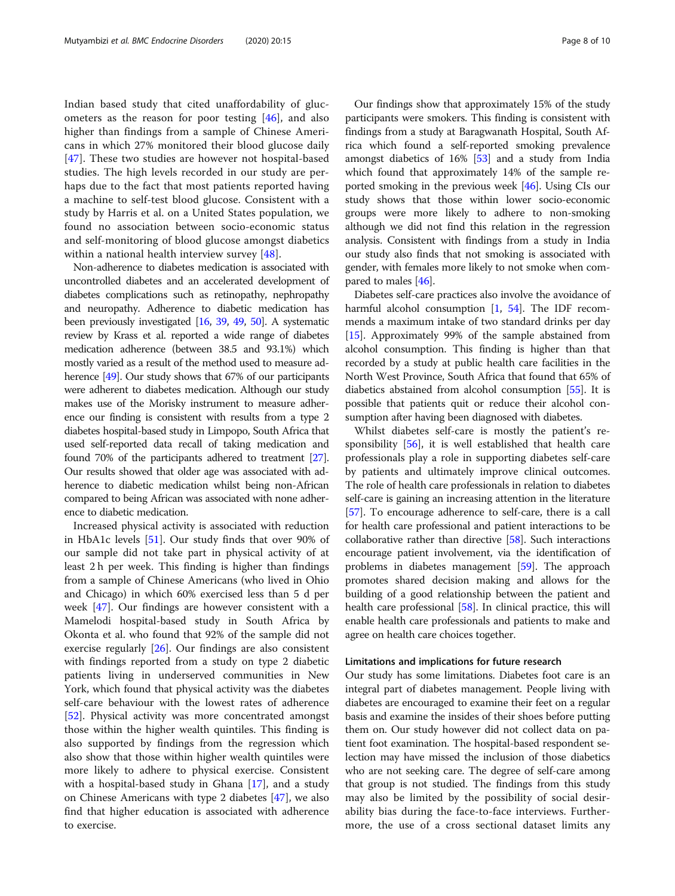Indian based study that cited unaffordability of glucometers as the reason for poor testing  $[46]$  $[46]$ , and also higher than findings from a sample of Chinese Americans in which 27% monitored their blood glucose daily [[47\]](#page-9-0). These two studies are however not hospital-based studies. The high levels recorded in our study are perhaps due to the fact that most patients reported having a machine to self-test blood glucose. Consistent with a study by Harris et al. on a United States population, we found no association between socio-economic status and self-monitoring of blood glucose amongst diabetics within a national health interview survey [[48\]](#page-9-0).

Non-adherence to diabetes medication is associated with uncontrolled diabetes and an accelerated development of diabetes complications such as retinopathy, nephropathy and neuropathy. Adherence to diabetic medication has been previously investigated [\[16,](#page-8-0) [39](#page-9-0), [49](#page-9-0), [50\]](#page-9-0). A systematic review by Krass et al. reported a wide range of diabetes medication adherence (between 38.5 and 93.1%) which mostly varied as a result of the method used to measure ad-herence [\[49\]](#page-9-0). Our study shows that 67% of our participants were adherent to diabetes medication. Although our study makes use of the Morisky instrument to measure adherence our finding is consistent with results from a type 2 diabetes hospital-based study in Limpopo, South Africa that used self-reported data recall of taking medication and found 70% of the participants adhered to treatment [\[27](#page-9-0)]. Our results showed that older age was associated with adherence to diabetic medication whilst being non-African compared to being African was associated with none adherence to diabetic medication.

Increased physical activity is associated with reduction in HbA1c levels [[51\]](#page-9-0). Our study finds that over 90% of our sample did not take part in physical activity of at least 2 h per week. This finding is higher than findings from a sample of Chinese Americans (who lived in Ohio and Chicago) in which 60% exercised less than 5 d per week [[47\]](#page-9-0). Our findings are however consistent with a Mamelodi hospital-based study in South Africa by Okonta et al. who found that 92% of the sample did not exercise regularly [\[26\]](#page-9-0). Our findings are also consistent with findings reported from a study on type 2 diabetic patients living in underserved communities in New York, which found that physical activity was the diabetes self-care behaviour with the lowest rates of adherence [[52\]](#page-9-0). Physical activity was more concentrated amongst those within the higher wealth quintiles. This finding is also supported by findings from the regression which also show that those within higher wealth quintiles were more likely to adhere to physical exercise. Consistent with a hospital-based study in Ghana [[17\]](#page-9-0), and a study on Chinese Americans with type 2 diabetes [[47\]](#page-9-0), we also find that higher education is associated with adherence to exercise.

Our findings show that approximately 15% of the study participants were smokers. This finding is consistent with findings from a study at Baragwanath Hospital, South Africa which found a self-reported smoking prevalence amongst diabetics of 16% [[53](#page-9-0)] and a study from India which found that approximately 14% of the sample reported smoking in the previous week [\[46\]](#page-9-0). Using CIs our study shows that those within lower socio-economic groups were more likely to adhere to non-smoking although we did not find this relation in the regression analysis. Consistent with findings from a study in India our study also finds that not smoking is associated with gender, with females more likely to not smoke when compared to males [\[46\]](#page-9-0).

Diabetes self-care practices also involve the avoidance of harmful alcohol consumption [\[1](#page-8-0), [54\]](#page-9-0). The IDF recommends a maximum intake of two standard drinks per day [[15](#page-8-0)]. Approximately 99% of the sample abstained from alcohol consumption. This finding is higher than that recorded by a study at public health care facilities in the North West Province, South Africa that found that 65% of diabetics abstained from alcohol consumption [[55](#page-9-0)]. It is possible that patients quit or reduce their alcohol consumption after having been diagnosed with diabetes.

Whilst diabetes self-care is mostly the patient's responsibility [[56\]](#page-9-0), it is well established that health care professionals play a role in supporting diabetes self-care by patients and ultimately improve clinical outcomes. The role of health care professionals in relation to diabetes self-care is gaining an increasing attention in the literature [[57](#page-9-0)]. To encourage adherence to self-care, there is a call for health care professional and patient interactions to be collaborative rather than directive [[58](#page-9-0)]. Such interactions encourage patient involvement, via the identification of problems in diabetes management [\[59](#page-9-0)]. The approach promotes shared decision making and allows for the building of a good relationship between the patient and health care professional [\[58\]](#page-9-0). In clinical practice, this will enable health care professionals and patients to make and agree on health care choices together.

### Limitations and implications for future research

Our study has some limitations. Diabetes foot care is an integral part of diabetes management. People living with diabetes are encouraged to examine their feet on a regular basis and examine the insides of their shoes before putting them on. Our study however did not collect data on patient foot examination. The hospital-based respondent selection may have missed the inclusion of those diabetics who are not seeking care. The degree of self-care among that group is not studied. The findings from this study may also be limited by the possibility of social desirability bias during the face-to-face interviews. Furthermore, the use of a cross sectional dataset limits any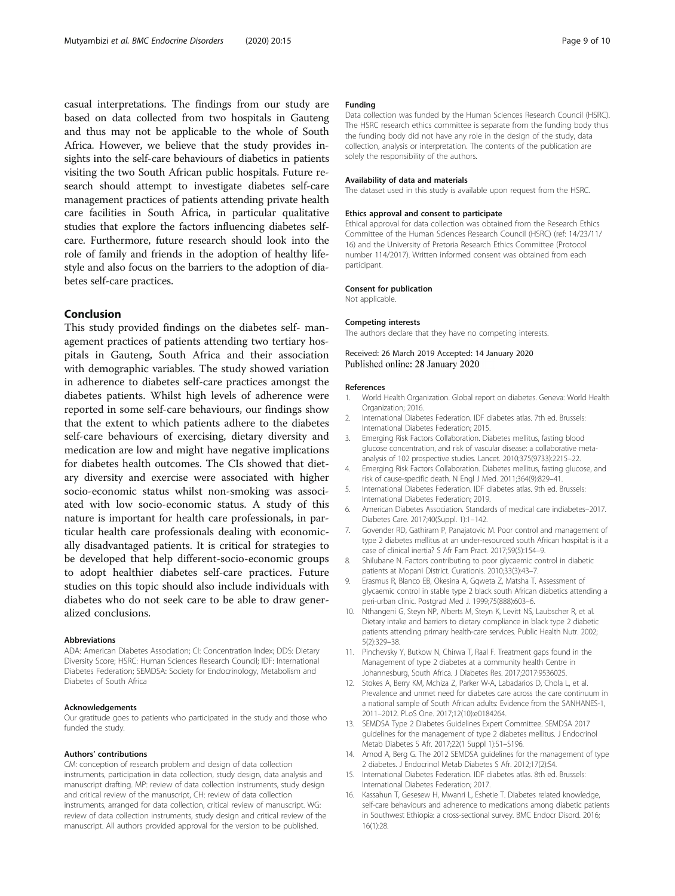<span id="page-8-0"></span>casual interpretations. The findings from our study are based on data collected from two hospitals in Gauteng and thus may not be applicable to the whole of South Africa. However, we believe that the study provides insights into the self-care behaviours of diabetics in patients visiting the two South African public hospitals. Future research should attempt to investigate diabetes self-care management practices of patients attending private health care facilities in South Africa, in particular qualitative studies that explore the factors influencing diabetes selfcare. Furthermore, future research should look into the role of family and friends in the adoption of healthy lifestyle and also focus on the barriers to the adoption of diabetes self-care practices.

# Conclusion

This study provided findings on the diabetes self- management practices of patients attending two tertiary hospitals in Gauteng, South Africa and their association with demographic variables. The study showed variation in adherence to diabetes self-care practices amongst the diabetes patients. Whilst high levels of adherence were reported in some self-care behaviours, our findings show that the extent to which patients adhere to the diabetes self-care behaviours of exercising, dietary diversity and medication are low and might have negative implications for diabetes health outcomes. The CIs showed that dietary diversity and exercise were associated with higher socio-economic status whilst non-smoking was associated with low socio-economic status. A study of this nature is important for health care professionals, in particular health care professionals dealing with economically disadvantaged patients. It is critical for strategies to be developed that help different-socio-economic groups to adopt healthier diabetes self-care practices. Future studies on this topic should also include individuals with diabetes who do not seek care to be able to draw generalized conclusions.

#### Abbreviations

ADA: American Diabetes Association; CI: Concentration Index; DDS: Dietary Diversity Score; HSRC: Human Sciences Research Council; IDF: International Diabetes Federation; SEMDSA: Society for Endocrinology, Metabolism and Diabetes of South Africa

#### Acknowledgements

Our gratitude goes to patients who participated in the study and those who funded the study.

#### Authors' contributions

CM: conception of research problem and design of data collection instruments, participation in data collection, study design, data analysis and manuscript drafting. MP: review of data collection instruments, study design and critical review of the manuscript, CH: review of data collection instruments, arranged for data collection, critical review of manuscript. WG: review of data collection instruments, study design and critical review of the manuscript. All authors provided approval for the version to be published.

#### Funding

Data collection was funded by the Human Sciences Research Council (HSRC). The HSRC research ethics committee is separate from the funding body thus the funding body did not have any role in the design of the study, data collection, analysis or interpretation. The contents of the publication are solely the responsibility of the authors.

### Availability of data and materials

The dataset used in this study is available upon request from the HSRC.

#### Ethics approval and consent to participate

Ethical approval for data collection was obtained from the Research Ethics Committee of the Human Sciences Research Council (HSRC) (ref: 14/23/11/ 16) and the University of Pretoria Research Ethics Committee (Protocol number 114/2017). Written informed consent was obtained from each participant.

#### Consent for publication

Not applicable.

#### Competing interests

The authors declare that they have no competing interests.

### Received: 26 March 2019 Accepted: 14 January 2020 Published online: 28 January 2020

#### References

- 1. World Health Organization. Global report on diabetes. Geneva: World Health Organization; 2016.
- 2. International Diabetes Federation. IDF diabetes atlas. 7th ed. Brussels: International Diabetes Federation; 2015.
- 3. Emerging Risk Factors Collaboration. Diabetes mellitus, fasting blood glucose concentration, and risk of vascular disease: a collaborative metaanalysis of 102 prospective studies. Lancet. 2010;375(9733):2215–22.
- 4. Emerging Risk Factors Collaboration. Diabetes mellitus, fasting glucose, and risk of cause-specific death. N Engl J Med. 2011;364(9):829–41.
- 5. International Diabetes Federation. IDF diabetes atlas. 9th ed. Brussels: International Diabetes Federation; 2019.
- 6. American Diabetes Association. Standards of medical care indiabetes–2017. Diabetes Care. 2017;40(Suppl. 1):1–142.
- 7. Govender RD, Gathiram P, Panajatovic M. Poor control and management of type 2 diabetes mellitus at an under-resourced south African hospital: is it a case of clinical inertia? S Afr Fam Pract. 2017;59(5):154–9.
- 8. Shilubane N. Factors contributing to poor glycaemic control in diabetic patients at Mopani District. Curationis. 2010;33(3):43–7.
- 9. Erasmus R, Blanco EB, Okesina A, Gqweta Z, Matsha T. Assessment of glycaemic control in stable type 2 black south African diabetics attending a peri-urban clinic. Postgrad Med J. 1999;75(888):603–6.
- 10. Nthangeni G, Steyn NP, Alberts M, Steyn K, Levitt NS, Laubscher R, et al. Dietary intake and barriers to dietary compliance in black type 2 diabetic patients attending primary health-care services. Public Health Nutr. 2002; 5(2):329–38.
- 11. Pinchevsky Y, Butkow N, Chirwa T, Raal F. Treatment gaps found in the Management of type 2 diabetes at a community health Centre in Johannesburg, South Africa. J Diabetes Res. 2017;2017:9536025.
- 12. Stokes A, Berry KM, Mchiza Z, Parker W-A, Labadarios D, Chola L, et al. Prevalence and unmet need for diabetes care across the care continuum in a national sample of South African adults: Evidence from the SANHANES-1, 2011–2012. PLoS One. 2017;12(10):e0184264.
- 13. SEMDSA Type 2 Diabetes Guidelines Expert Committee. SEMDSA 2017 guidelines for the management of type 2 diabetes mellitus. J Endocrinol Metab Diabetes S Afr. 2017;22(1 Suppl 1):S1–S196.
- 14. Amod A, Berg G. The 2012 SEMDSA guidelines for the management of type 2 diabetes. J Endocrinol Metab Diabetes S Afr. 2012;17(2):S4.
- 15. International Diabetes Federation. IDF diabetes atlas. 8th ed. Brussels: International Diabetes Federation; 2017.
- 16. Kassahun T, Gesesew H, Mwanri L, Eshetie T. Diabetes related knowledge, self-care behaviours and adherence to medications among diabetic patients in Southwest Ethiopia: a cross-sectional survey. BMC Endocr Disord. 2016; 16(1):28.